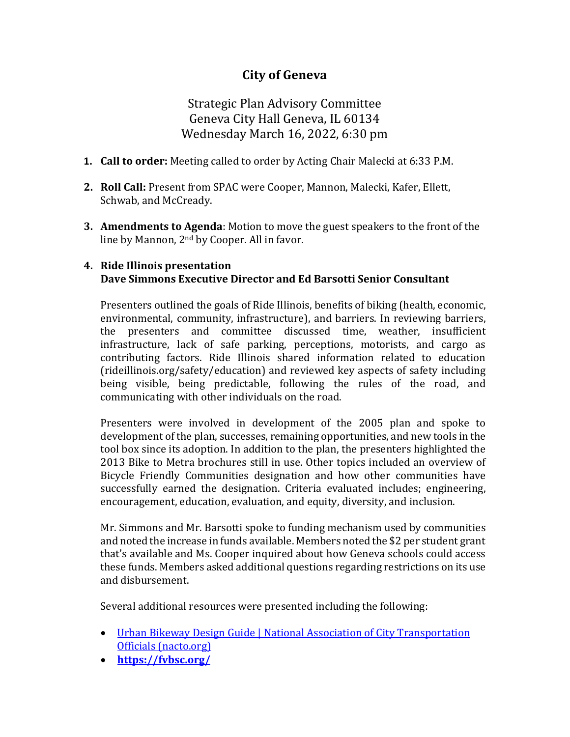# **City of Geneva**

Strategic Plan Advisory Committee Geneva City Hall Geneva, IL 60134 Wednesday March 16, 2022, 6:30 pm

- **1. Call to order:** Meeting called to order by Acting Chair Malecki at 6:33 P.M.
- **2. Roll Call:** Present from SPAC were Cooper, Mannon, Malecki, Kafer, Ellett, Schwab, and McCready.
- **3. Amendments to Agenda**: Motion to move the guest speakers to the front of the line by Mannon, 2nd by Cooper. All in favor.

#### **4. Ride Illinois presentation Dave Simmons Executive Director and Ed Barsotti Senior Consultant**

Presenters outlined the goals of Ride Illinois, benefits of biking (health, economic, environmental, community, infrastructure), and barriers. In reviewing barriers, the presenters and committee discussed time, weather, insufficient infrastructure, lack of safe parking, perceptions, motorists, and cargo as contributing factors. Ride Illinois shared information related to education (rideillinois.org/safety/education) and reviewed key aspects of safety including being visible, being predictable, following the rules of the road, and communicating with other individuals on the road.

Presenters were involved in development of the 2005 plan and spoke to development of the plan, successes, remaining opportunities, and new tools in the tool box since its adoption. In addition to the plan, the presenters highlighted the 2013 Bike to Metra brochures still in use. Other topics included an overview of Bicycle Friendly Communities designation and how other communities have successfully earned the designation. Criteria evaluated includes; engineering, encouragement, education, evaluation, and equity, diversity, and inclusion.

Mr. Simmons and Mr. Barsotti spoke to funding mechanism used by communities and noted the increase in funds available. Members noted the \$2 per student grant that's available and Ms. Cooper inquired about how Geneva schools could access these funds. Members asked additional questions regarding restrictions on its use and disbursement.

Several additional resources were presented including the following:

- [Urban Bikeway Design Guide | National Association of City Transportation](https://nacto.org/publication/urban-bikeway-design-guide/)  [Officials \(nacto.org\)](https://nacto.org/publication/urban-bikeway-design-guide/)
- **<https://fvbsc.org/>**